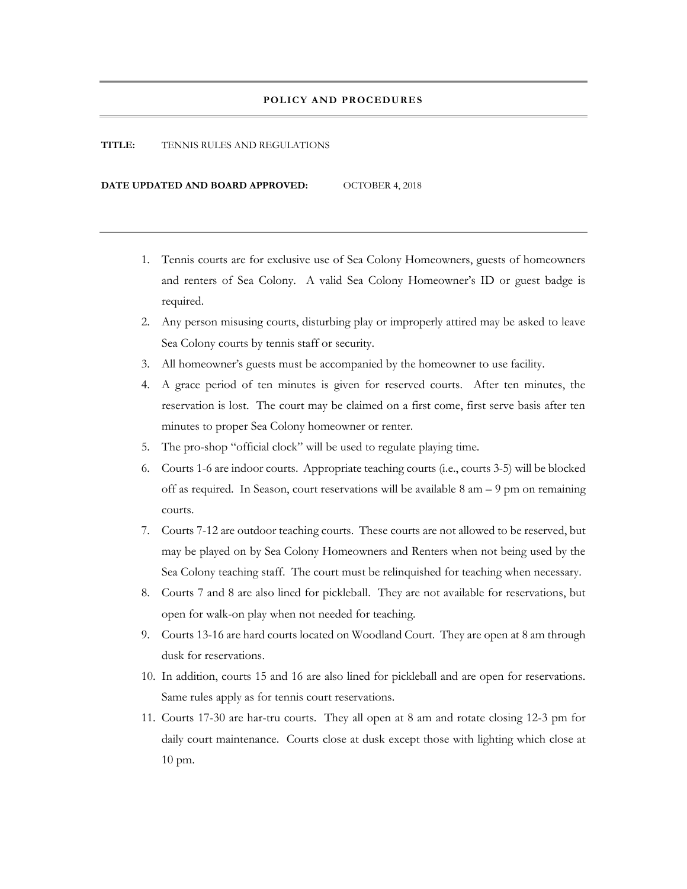#### **POLICY AND PROCEDURES**

#### **TITLE:** TENNIS RULES AND REGULATIONS

**DATE UPDATED AND BOARD APPROVED:** OCTOBER 4, 2018

- 1. Tennis courts are for exclusive use of Sea Colony Homeowners, guests of homeowners and renters of Sea Colony. A valid Sea Colony Homeowner's ID or guest badge is required.
- 2. Any person misusing courts, disturbing play or improperly attired may be asked to leave Sea Colony courts by tennis staff or security.
- 3. All homeowner's guests must be accompanied by the homeowner to use facility.
- 4. A grace period of ten minutes is given for reserved courts. After ten minutes, the reservation is lost. The court may be claimed on a first come, first serve basis after ten minutes to proper Sea Colony homeowner or renter.
- 5. The pro-shop "official clock" will be used to regulate playing time.
- 6. Courts 1-6 are indoor courts. Appropriate teaching courts (i.e., courts 3-5) will be blocked off as required. In Season, court reservations will be available  $8 \text{ am} - 9 \text{ pm}$  on remaining courts.
- 7. Courts 7-12 are outdoor teaching courts. These courts are not allowed to be reserved, but may be played on by Sea Colony Homeowners and Renters when not being used by the Sea Colony teaching staff. The court must be relinquished for teaching when necessary.
- 8. Courts 7 and 8 are also lined for pickleball. They are not available for reservations, but open for walk-on play when not needed for teaching.
- 9. Courts 13-16 are hard courts located on Woodland Court. They are open at 8 am through dusk for reservations.
- 10. In addition, courts 15 and 16 are also lined for pickleball and are open for reservations. Same rules apply as for tennis court reservations.
- 11. Courts 17-30 are har-tru courts. They all open at 8 am and rotate closing 12-3 pm for daily court maintenance. Courts close at dusk except those with lighting which close at 10 pm.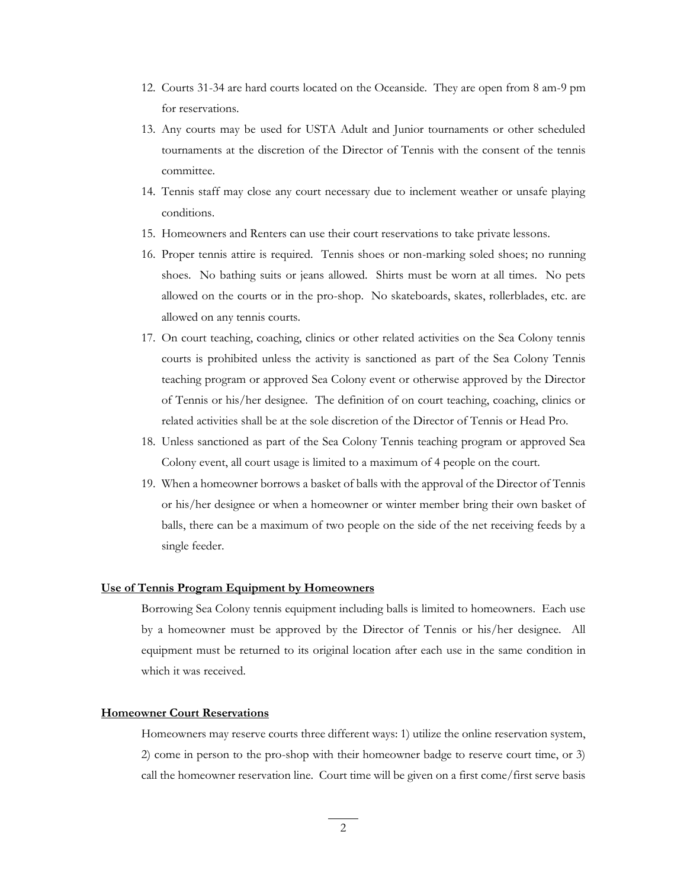- 12. Courts 31-34 are hard courts located on the Oceanside. They are open from 8 am-9 pm for reservations.
- 13. Any courts may be used for USTA Adult and Junior tournaments or other scheduled tournaments at the discretion of the Director of Tennis with the consent of the tennis committee.
- 14. Tennis staff may close any court necessary due to inclement weather or unsafe playing conditions.
- 15. Homeowners and Renters can use their court reservations to take private lessons.
- 16. Proper tennis attire is required. Tennis shoes or non-marking soled shoes; no running shoes. No bathing suits or jeans allowed. Shirts must be worn at all times. No pets allowed on the courts or in the pro-shop. No skateboards, skates, rollerblades, etc. are allowed on any tennis courts.
- 17. On court teaching, coaching, clinics or other related activities on the Sea Colony tennis courts is prohibited unless the activity is sanctioned as part of the Sea Colony Tennis teaching program or approved Sea Colony event or otherwise approved by the Director of Tennis or his/her designee. The definition of on court teaching, coaching, clinics or related activities shall be at the sole discretion of the Director of Tennis or Head Pro.
- 18. Unless sanctioned as part of the Sea Colony Tennis teaching program or approved Sea Colony event, all court usage is limited to a maximum of 4 people on the court.
- 19. When a homeowner borrows a basket of balls with the approval of the Director of Tennis or his/her designee or when a homeowner or winter member bring their own basket of balls, there can be a maximum of two people on the side of the net receiving feeds by a single feeder.

# **Use of Tennis Program Equipment by Homeowners**

Borrowing Sea Colony tennis equipment including balls is limited to homeowners. Each use by a homeowner must be approved by the Director of Tennis or his/her designee. All equipment must be returned to its original location after each use in the same condition in which it was received.

### **Homeowner Court Reservations**

Homeowners may reserve courts three different ways: 1) utilize the online reservation system, 2) come in person to the pro-shop with their homeowner badge to reserve court time, or 3) call the homeowner reservation line. Court time will be given on a first come/first serve basis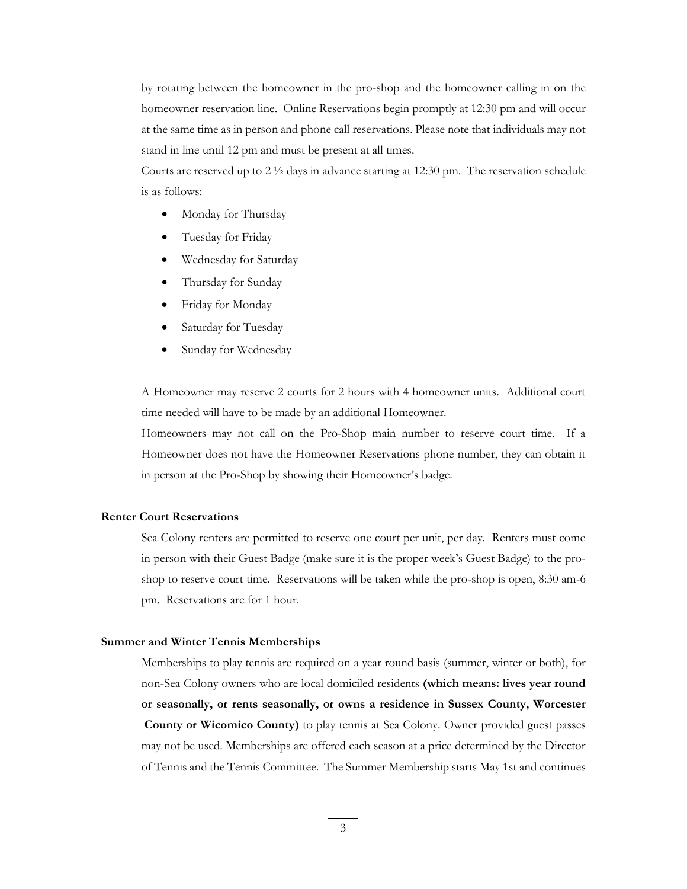by rotating between the homeowner in the pro-shop and the homeowner calling in on the homeowner reservation line. Online Reservations begin promptly at 12:30 pm and will occur at the same time as in person and phone call reservations. Please note that individuals may not stand in line until 12 pm and must be present at all times.

Courts are reserved up to  $2\frac{1}{2}$  days in advance starting at 12:30 pm. The reservation schedule is as follows:

- Monday for Thursday
- Tuesday for Friday
- Wednesday for Saturday
- Thursday for Sunday
- Friday for Monday
- Saturday for Tuesday
- Sunday for Wednesday

A Homeowner may reserve 2 courts for 2 hours with 4 homeowner units. Additional court time needed will have to be made by an additional Homeowner.

Homeowners may not call on the Pro-Shop main number to reserve court time. If a Homeowner does not have the Homeowner Reservations phone number, they can obtain it in person at the Pro-Shop by showing their Homeowner's badge.

### **Renter Court Reservations**

Sea Colony renters are permitted to reserve one court per unit, per day. Renters must come in person with their Guest Badge (make sure it is the proper week's Guest Badge) to the proshop to reserve court time. Reservations will be taken while the pro-shop is open, 8:30 am-6 pm. Reservations are for 1 hour.

## **Summer and Winter Tennis Memberships**

Memberships to play tennis are required on a year round basis (summer, winter or both), for non-Sea Colony owners who are local domiciled residents **(which means: lives year round or seasonally, or rents seasonally, or owns a residence in Sussex County, Worcester County or Wicomico County)** to play tennis at Sea Colony. Owner provided guest passes may not be used. Memberships are offered each season at a price determined by the Director of Tennis and the Tennis Committee. The Summer Membership starts May 1st and continues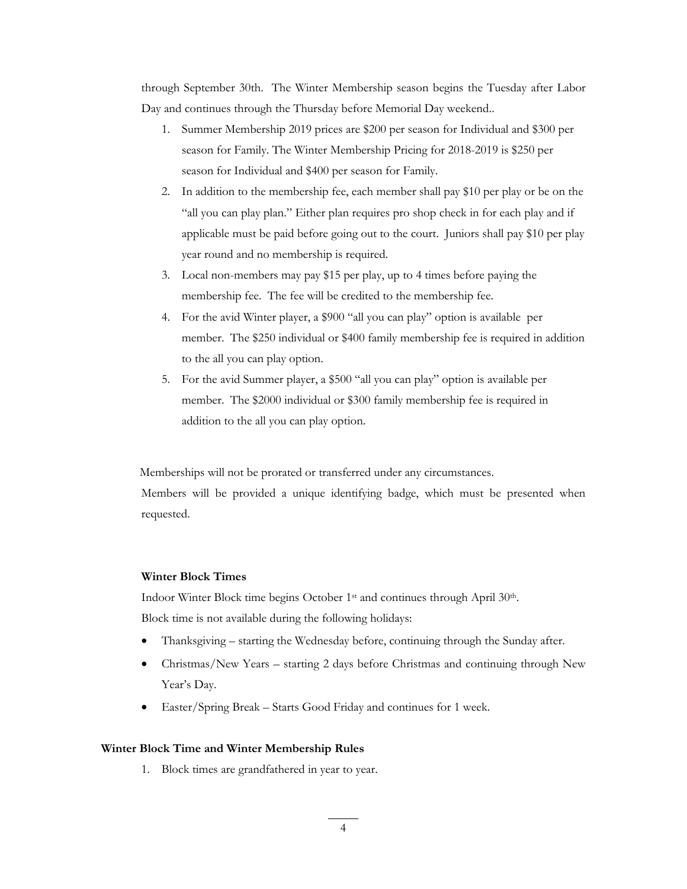through September 30th. The Winter Membership season begins the Tuesday after Labor Day and continues through the Thursday before Memorial Day weekend..

- 1. Summer Membership 2019 prices are \$200 per season for Individual and \$300 per season for Family. The Winter Membership Pricing for 2018-2019 is \$250 per season for Individual and \$400 per season for Family.
- 2. In addition to the membership fee, each member shall pay \$10 per play or be on the "all you can play plan." Either plan requires pro shop check in for each play and if applicable must be paid before going out to the court. Juniors shall pay \$10 per play year round and no membership is required.
- 3. Local non-members may pay \$15 per play, up to 4 times before paying the membership fee. The fee will be credited to the membership fee.
- 4. For the avid Winter player, a \$900 "all you can play" option is available per member. The \$250 individual or \$400 family membership fee is required in addition to the all you can play option.
- 5. For the avid Summer player, a \$500 "all you can play" option is available per member. The \$2000 individual or \$300 family membership fee is required in addition to the all you can play option.

 Memberships will not be prorated or transferred under any circumstances. Members will be provided a unique identifying badge, which must be presented when requested.

# **Winter Block Times**

Indoor Winter Block time begins October 1st and continues through April 30th. Block time is not available during the following holidays:

- Thanksgiving starting the Wednesday before, continuing through the Sunday after.
- Christmas/New Years starting 2 days before Christmas and continuing through New Year's Day.
- Easter/Spring Break Starts Good Friday and continues for 1 week.

# **Winter Block Time and Winter Membership Rules**

1. Block times are grandfathered in year to year.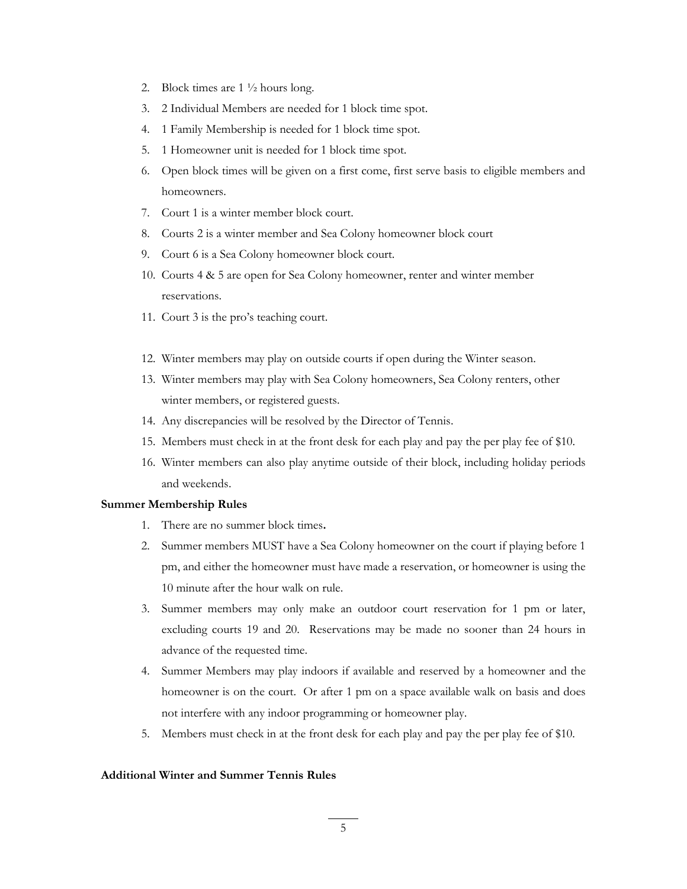- 2. Block times are 1 ½ hours long.
- 3. 2 Individual Members are needed for 1 block time spot.
- 4. 1 Family Membership is needed for 1 block time spot.
- 5. 1 Homeowner unit is needed for 1 block time spot.
- 6. Open block times will be given on a first come, first serve basis to eligible members and homeowners.
- 7. Court 1 is a winter member block court.
- 8. Courts 2 is a winter member and Sea Colony homeowner block court
- 9. Court 6 is a Sea Colony homeowner block court.
- 10. Courts 4 & 5 are open for Sea Colony homeowner, renter and winter member reservations.
- 11. Court 3 is the pro's teaching court.
- 12. Winter members may play on outside courts if open during the Winter season.
- 13. Winter members may play with Sea Colony homeowners, Sea Colony renters, other winter members, or registered guests.
- 14. Any discrepancies will be resolved by the Director of Tennis.
- 15. Members must check in at the front desk for each play and pay the per play fee of \$10.
- 16. Winter members can also play anytime outside of their block, including holiday periods and weekends.

# **Summer Membership Rules**

- 1. There are no summer block times**.**
- 2. Summer members MUST have a Sea Colony homeowner on the court if playing before 1 pm, and either the homeowner must have made a reservation, or homeowner is using the 10 minute after the hour walk on rule.
- 3. Summer members may only make an outdoor court reservation for 1 pm or later, excluding courts 19 and 20. Reservations may be made no sooner than 24 hours in advance of the requested time.
- 4. Summer Members may play indoors if available and reserved by a homeowner and the homeowner is on the court. Or after 1 pm on a space available walk on basis and does not interfere with any indoor programming or homeowner play.
- 5. Members must check in at the front desk for each play and pay the per play fee of \$10.

# **Additional Winter and Summer Tennis Rules**